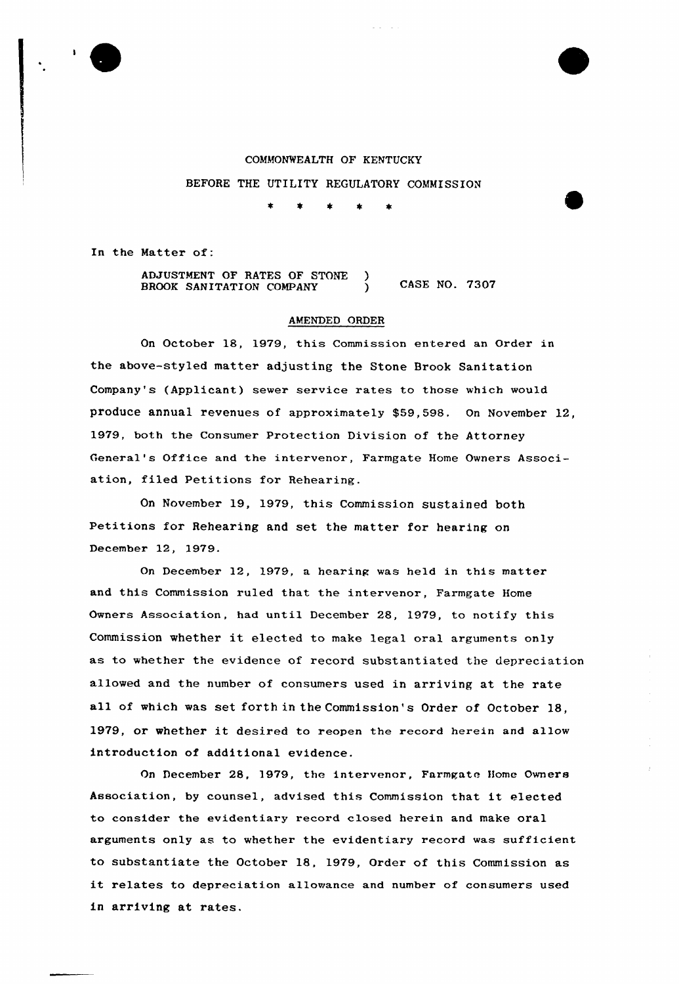

# COMMONWEALTH OF KENTUCKY

BEFORE THE UTILITY REGULATORY COMMISSION

 $\pmb{\ast}$ 金

In the Matter of:

ADJUSTMENT OF RATES OF STONE CASE NO. 7307 BROOK SANITATION COMPANY

## AMENDED ORDER

On October 18, 1979, this Commission entered an Order in the above-styled matter adjusting the Stone Brook Sanitation Company's (Applicant) sewer service rates to those which would produce annual revenues of approximately \$59,598. On November 12, 1979, both the Consumer Protection Division of the Attorney General's Office and the intervenor, Farmgate Home Owners Association, filed Petitions for Rehearing.

On November 19, 1979, this Commission sustained both Petitions for Rehearing and set the matter for hearing on December 12, 1979.

On December 12, 1979, a hearing was held in this matter and this Commission ruled that the intervenor, Farmgate Home Owners Association, had until December 28, 1979, to notify this Commission whether it elected to make legal oral arguments only as to whether the evidence of record substantiated the depreciation allowed and the number of consumers used in arriving at the rate all of which was set forth in the Commission's Order of October 18, 1979, or whether it desired to reopen the record herein and allow introduction of additional evidence.

On December 28, 1979, the intervenor, Farmgate Home Owners Association, by counsel, advised this Commission that it elected to consider the evidentiary record closed herein and make oral arguments only as to whether the evidentiary record was sufficient to substantiate the October 18, 1979, Order of this Commission as it relates to depreciation allowance and number of consumers used in arriving at rates.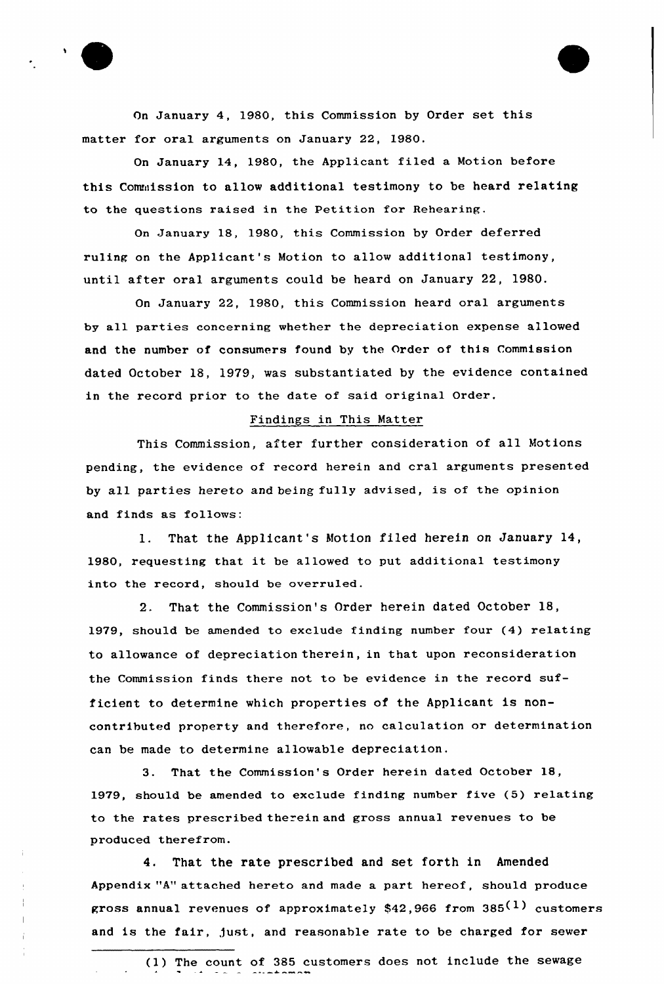



On January 14, 1980, the Applicant filed a Motion before this Commission to allow additional testimony to be heard relating to the questions raised in the Petition for Rehearing.

On January 18, 1980, this Commission by Order deferred ruling on the Applicant's Motion to allow additional testimony, until after oral arguments could be heard on January 22, 1980.

On January 22, 1980, this Commission heard oral arguments by all parties concerning whether the depreciation expense allowed and the number of consumers found by the Order of this Commission dated October 18, 1979, was substantiated by the evidence contained in the record prior to the date of said original Order.

## Findings in This Matter

This Commission, after further consideration of all Motions pending, the evidence of record herein and eral arguments presented by all parties hereto and being fully advised, is of the opinion and finds as follows:

1. That the Applicant's Motion filed herein on January 14, 1980, requesting that it be allowed to put additional testimony into the record, should be overruled,

2. That the Commission's Order herein dated October 18, 1979, should be amended to exclude finding number four (4) relating to allowance of depreciation therein, in that upon reconsideration the Commission finds there not to be evidence in the record sufficient to determine which properties of the Applicant is noncontributed property and therefore, no calculation or determination can be made to determine allowable depreciation.

3. That the Commission's Order herein dated October 18, 1979, should be amended to exclude finding number five (5) relating to the rates prescribed therein and gross annual revenues to be produced therefrom.

4. That the rate prescribed and set forth in Amended Appendix "A" attached hereto and made a part hereof, should produce gross annual revenues of approximately \$42,966 from  $385^{(1)}$  customers and is the fair, just, and reasonable rate to be charged for sewer

<sup>(1)</sup> The count of 385 customers does not include the sewage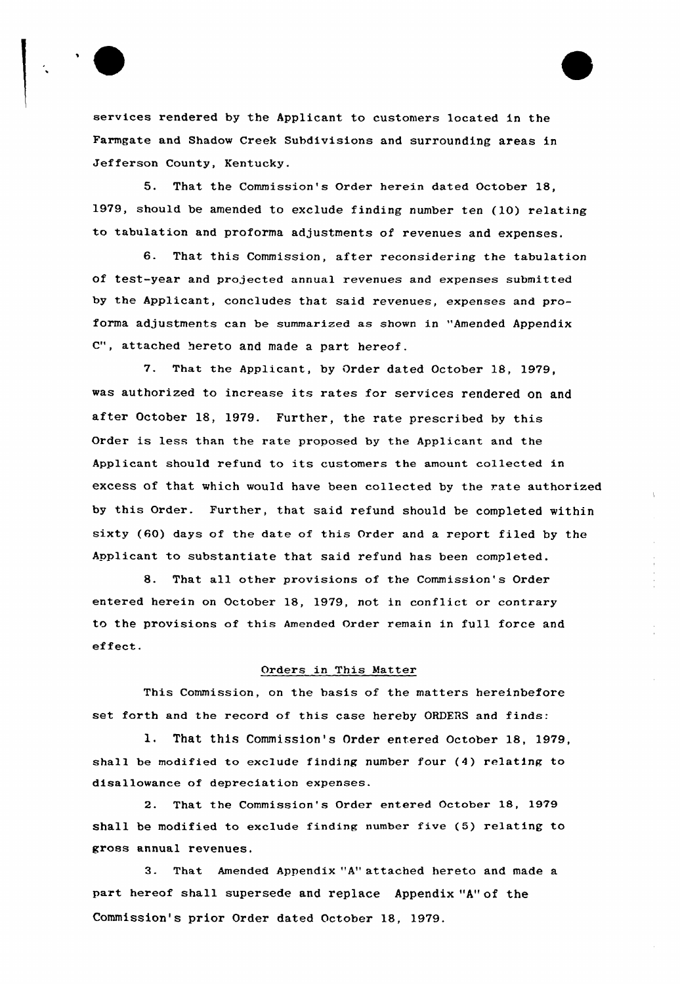

services rendered by the Applicant to customers located in the Farmgate and Shadow Creek Subdivisions and surrounding areas in Jefferson County, Kentucky.

5. That the Commission's Order herein dated October 18, 1979, should be amended to exclude finding number ten (10) relating to tabulation and proforma adjustments of revenues and expenses.

6. That this Commission, after reconsidering the tabulation of test-year and projected annual revenues and expenses submitted by the Applicant, concludes that said revenues, expenses and proforma adjustments can be summarized as shown in "Amended Appendix C", attached hereto and made a part hereof.

7. That the Applicant, by Order dated October 18, 1979, was authorized to increase its rates for services rendered on and after October 18, 1979. Further, the rate prescribed by this Order is less than the rate proposed by the Applicant and the Applicant should refund to its customers the amount collected in excess of that which would have been collected by the rate authorized by this Order. Further, that said refund should be completed within sixty (60) days of the date of this Order and a report filed by the Applicant to substantiate that said refund has been completed.

8. That all other provisions of the Commission's Order entered herein on October 18, 1979, not in conflict or contrary to the provisions of this Amended Order remain in full force and effect.

# Orders in This Matter

This Commission, on the basis of the matters hereinbefore set forth and the record of this case hereby ORDERS and finds:

1. That this Commission's Order entered October 18, 1979, shall be modified to exclude finding number four (4) relating to disallowance of depreciation expenses.

2. That the Commission's Order entered October 18, 1979 shall be modified to exclude finding number five (5) relating to gross annual revenues.

3. That Amended Appendix "A" attached hereto and made a part hereof shall supersede and replace Appendix "A" of the Commission's prior Order dated October 18, 1979.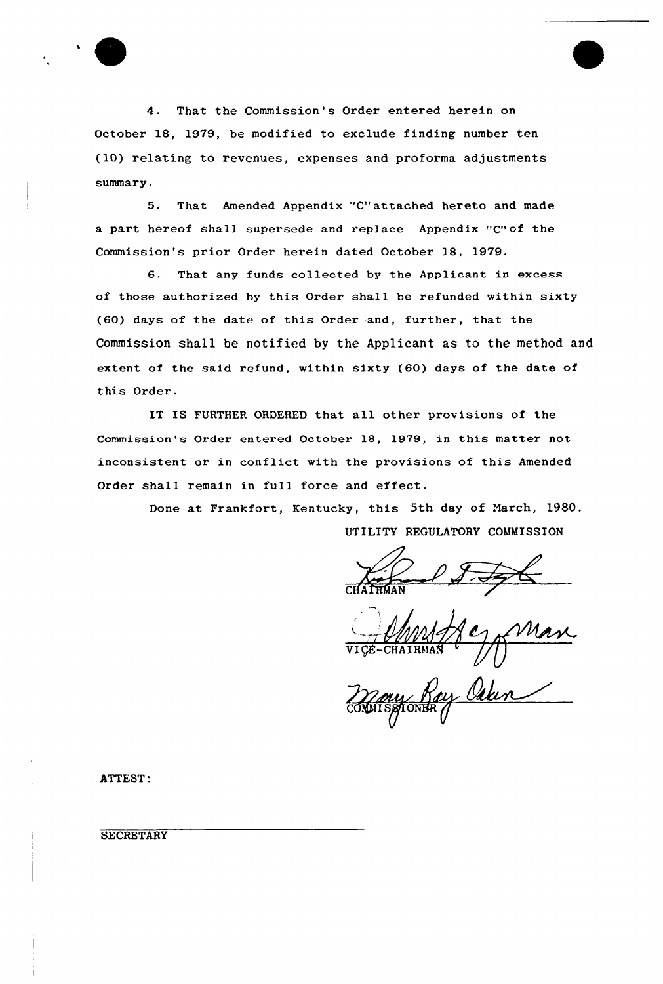4. That the Commission's Order entered herein on October 18, 1979, be modified to exclude finding number ten (10) relating to revenues, expenses and proforma adjustments summary.

5. That Amended Appendix 'C" attached hereto and made a part hereof shall supersede and replace Appendix "C"of the Commission's prior Order herein dated October 18, 1979.

6. That any funds collected by the Applicant in excess of those authorized hy this Order shall be refunded within sixty {60) days of the date of this Order and, further, that the Commission shall be notified by the Applicant as to the method and extent of the said refund, within sixty {60) days of the date of this Order.

IT IS FURTHER ORDERED that all other provisions of the Commission's Order entered October 18, 1979, in this matter not inconsistent or in conflict with the provisions of this Amended Order shall remain in full force and effect.

> Done at Frankfort, Kentucky, this 5th day of March, 1980. UTILITY REGULATORY COMMISSION

ony Ray Osken

ATTEST'.

**SECRETARY**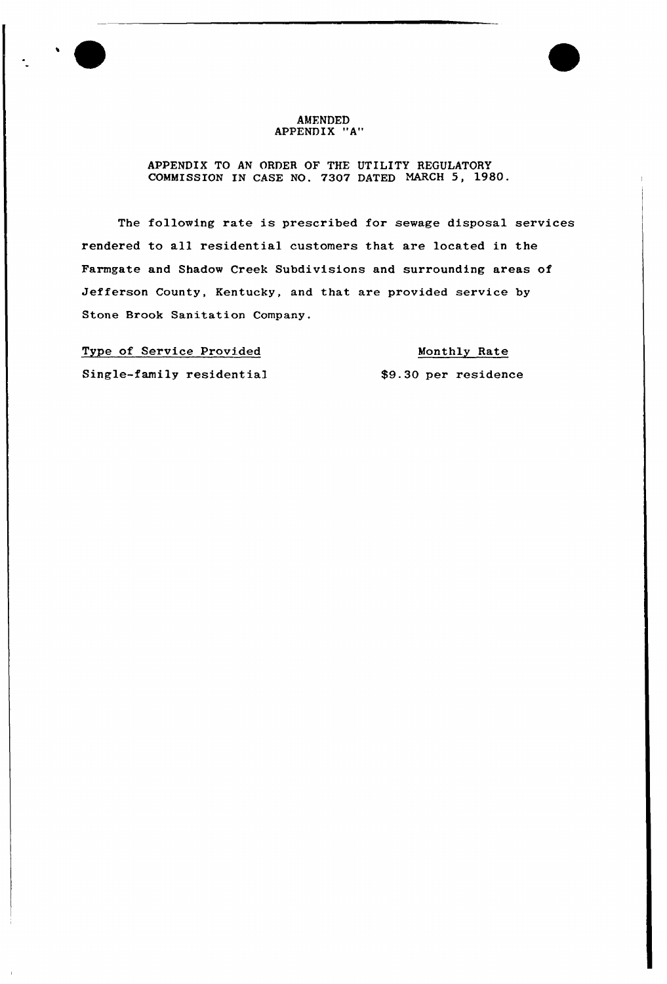### AMENDED APPENDIX "A"

## APPENDIX TO AN ORDER OF THE UTILITY REGULATORY COMMISSION IN CASE NO. 7307 DATED MARCH 5, 1980.

The following rate is prescribed for sewage disposal services rendered to all residential customers that are located in the Farmgate and Shadow Creek Subdivisions and surrounding areas of Jefferson County, Kentucky, and that are provided service by Stone Brook Sanitation Company.

Type of Service Provided Single-family residential

Monthly Rate \$9.30 per residence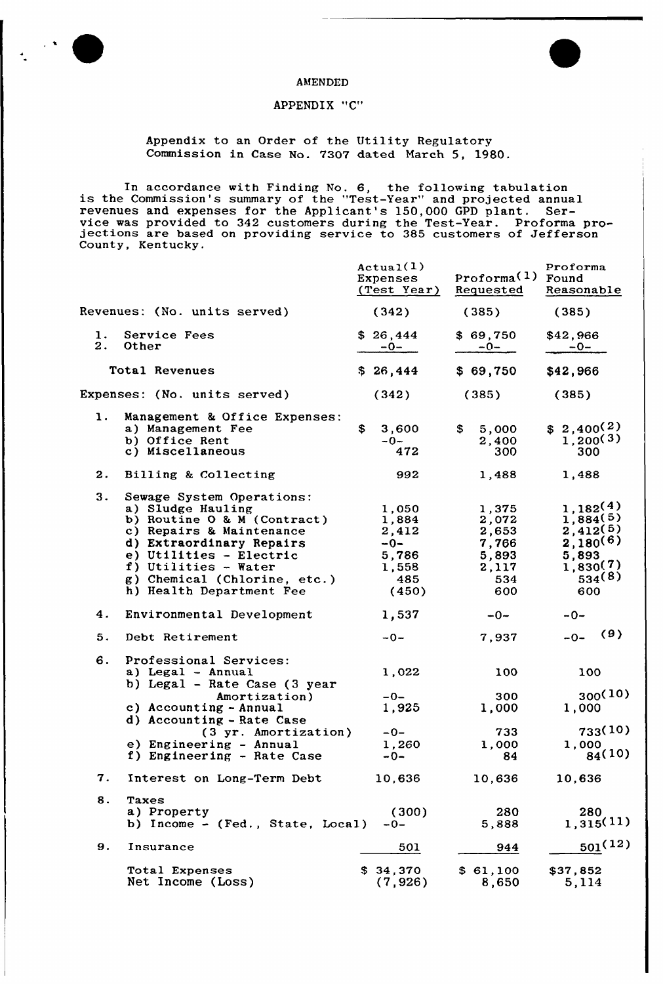

#### AMENDED

# APPENDIX "C"

Appendix to an Order of the Utility Regulatory Commission in Case No. 7307 dated March 5, 1980.

In accordance with Finding No. 6, the following tabulation is the Commission's summary of the "Test-Year" and projected annual revenues and expenses for the Applicant's 150,000 GPD plant. Service was provided to <sup>342</sup> customers during the Test-Year. Proforma pro- jections are based on providing service to <sup>385</sup> customers of Jefferson County, Kentucky.

|                              |                                                                                                                                                                                                                                                      | Actual(1)<br>Expenses<br>(Test Year)                                 | Proforma <sup>(1)</sup> Found<br>Requested                       | Proforma<br>Reasonable                                                                  |
|------------------------------|------------------------------------------------------------------------------------------------------------------------------------------------------------------------------------------------------------------------------------------------------|----------------------------------------------------------------------|------------------------------------------------------------------|-----------------------------------------------------------------------------------------|
| Revenues: (No. units served) |                                                                                                                                                                                                                                                      | (342)                                                                | (385)                                                            | (385)                                                                                   |
| $\mathbf{1}$ .<br>2.         | Service Fees<br>Other                                                                                                                                                                                                                                | \$26,444<br>$-0-$                                                    | \$69,750<br>$-0-$                                                | \$42,966<br>$-0-$                                                                       |
|                              | Total Revenues                                                                                                                                                                                                                                       | \$26,444                                                             | \$69,750                                                         | \$42,966                                                                                |
| Expenses: (No. units served) |                                                                                                                                                                                                                                                      | (342)                                                                | (385)                                                            | (385)                                                                                   |
| 1.                           | Management & Office Expenses:<br>a) Management Fee<br>b) Office Rent<br>c) Miscellaneous                                                                                                                                                             | \$<br>3,600<br>$-0-$<br>472                                          | \$<br>5,000<br>2,400<br>300                                      | $$2,400^{(2)}$$<br>1,200(3)<br>300                                                      |
| 2.                           | Billing & Collecting                                                                                                                                                                                                                                 | 992                                                                  | 1,488                                                            | 1,488                                                                                   |
| 3.                           | Sewage System Operations:<br>a) Sludge Hauling<br>b) Routine O & M (Contract)<br>c) Repairs & Maintenance<br>d) Extraordinary Repairs<br>e) Utilities - Electric<br>f) Utilities - Water<br>g) Chemical (Chlorine, etc.)<br>h) Health Department Fee | 1,050<br>1,884<br>2,412<br>$-0-$<br>5,786<br>1,558<br>- 485<br>(450) | 1,375<br>2,072<br>2,653<br>7,766<br>5,893<br>2,117<br>534<br>600 | 1,182(4)<br>1,884(5)<br>2,412(5)<br>$2,180^{(6)}$<br>5,893<br>1,830(7)<br>534(8)<br>600 |
| 4.                           | Environmental Development                                                                                                                                                                                                                            | 1,537                                                                | $-0-$                                                            | $-0-$                                                                                   |
| 5.                           | Debt Retirement                                                                                                                                                                                                                                      | $-0-$                                                                | 7,937                                                            | (9)<br>$-0-$                                                                            |
| 6.                           | Professional Services:<br>a) Legal - Annual<br>b) Legal - Rate Case (3 year<br>Amortization)<br>c) Accounting - Annual<br>d) Accounting - Rate Case                                                                                                  | 1,022<br>$-0-$<br>1,925                                              | 100<br>300<br>1,000                                              | 100<br>300(10)<br>1,000                                                                 |
|                              | (3 yr. Amortization)<br>e) Engineering - Annual<br>f) Engineering - Rate Case                                                                                                                                                                        | $-0-$<br>1,260<br>$-0-$                                              | 733<br>1,000<br>84                                               | 733(10)<br>1,000<br>84(10)                                                              |
| 7.                           | Interest on Long-Term Debt                                                                                                                                                                                                                           | 10,636                                                               | 10,636                                                           | 10,636                                                                                  |
| 8.                           | Taxes<br>a) Property<br>b) Income - (Fed., State, Local)                                                                                                                                                                                             | (300)<br>$-0-$                                                       | 280<br>5,888                                                     | 280<br>1,315(11)                                                                        |
| 9.                           | Insurance                                                                                                                                                                                                                                            | 501                                                                  | 944                                                              | $501^{(12)}$                                                                            |
|                              | Total Expenses<br>Net Income (Loss)                                                                                                                                                                                                                  | \$34,370<br>(7, 926)                                                 | \$61,100<br>8,650                                                | \$37,852<br>5,114                                                                       |